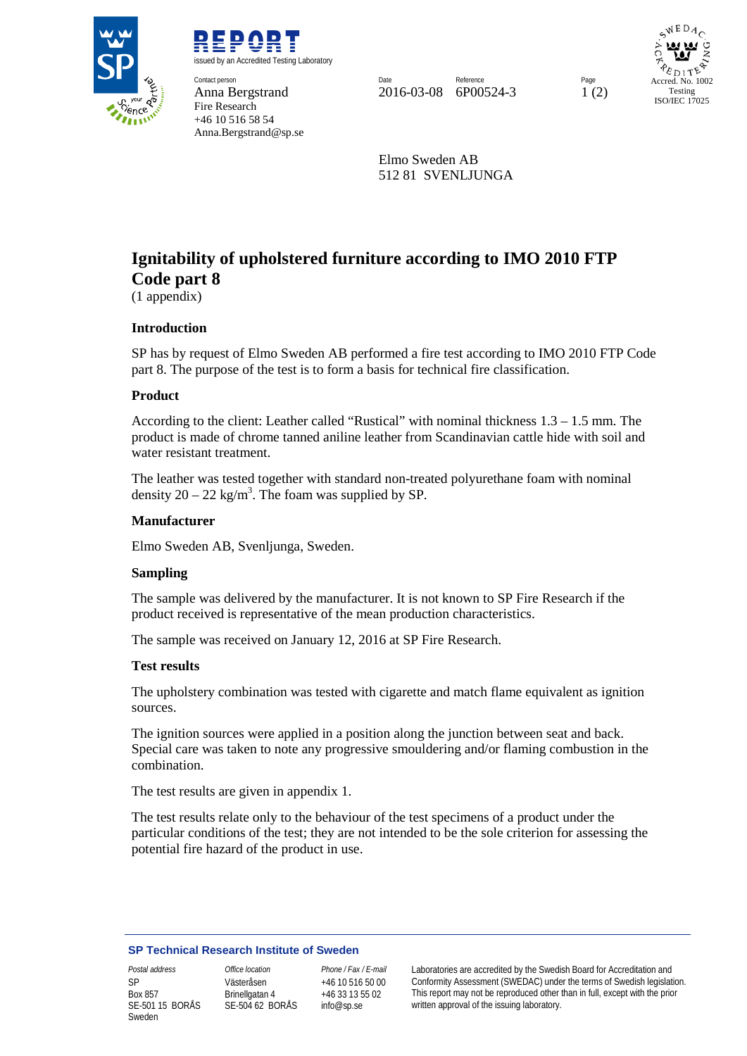

REPORT issued by an Accredited Testing Laboratory **Contact person** Contact person **Page Reference** Page Reference Reference Page Reference Page Reference Page Reference Page Reference Page Reference Page Reference Page Reference Page Reference Page Reference Page Reference Page Reference Anna Bergstrand 2016-03-08 6P00524-3 1 (2) Fire Research

+46 10 516 58 54 Anna.Bergstrand@sp.se

 $WEDA$ Accred. No. 1002 Testing ISO/IEC 17025

Elmo Sweden AB 512 81 SVENLJUNGA

# **Ignitability of upholstered furniture according to IMO 2010 FTP Code part 8**

(1 appendix)

# **Introduction**

SP has by request of Elmo Sweden AB performed a fire test according to IMO 2010 FTP Code part 8. The purpose of the test is to form a basis for technical fire classification.

## **Product**

According to the client: Leather called "Rustical" with nominal thickness 1.3 – 1.5 mm. The product is made of chrome tanned aniline leather from Scandinavian cattle hide with soil and water resistant treatment.

The leather was tested together with standard non-treated polyurethane foam with nominal density  $20 - 22$  kg/m<sup>3</sup>. The foam was supplied by SP.

#### **Manufacturer**

Elmo Sweden AB, Svenljunga, Sweden.

#### **Sampling**

The sample was delivered by the manufacturer. It is not known to SP Fire Research if the product received is representative of the mean production characteristics.

The sample was received on January 12, 2016 at SP Fire Research.

#### **Test results**

The upholstery combination was tested with cigarette and match flame equivalent as ignition sources.

The ignition sources were applied in a position along the junction between seat and back. Special care was taken to note any progressive smouldering and/or flaming combustion in the combination.

The test results are given in appendix 1.

The test results relate only to the behaviour of the test specimens of a product under the particular conditions of the test; they are not intended to be the sole criterion for assessing the potential fire hazard of the product in use.

#### **SP Technical Research Institute of Sweden**

SP Box 857 SE-501 15 BORÅS Sweden

Västeråsen Brinellgatan 4 SE-504 62 BORÅS

+46 10 516 50 00 +46 33 13 55 02 info@sp.se

*Postal address Office location Phone / Fax / E-mail* Laboratories are accredited by the Swedish Board for Accreditation and Conformity Assessment (SWEDAC) under the terms of Swedish legislation. This report may not be reproduced other than in full, except with the prior written approval of the issuing laboratory.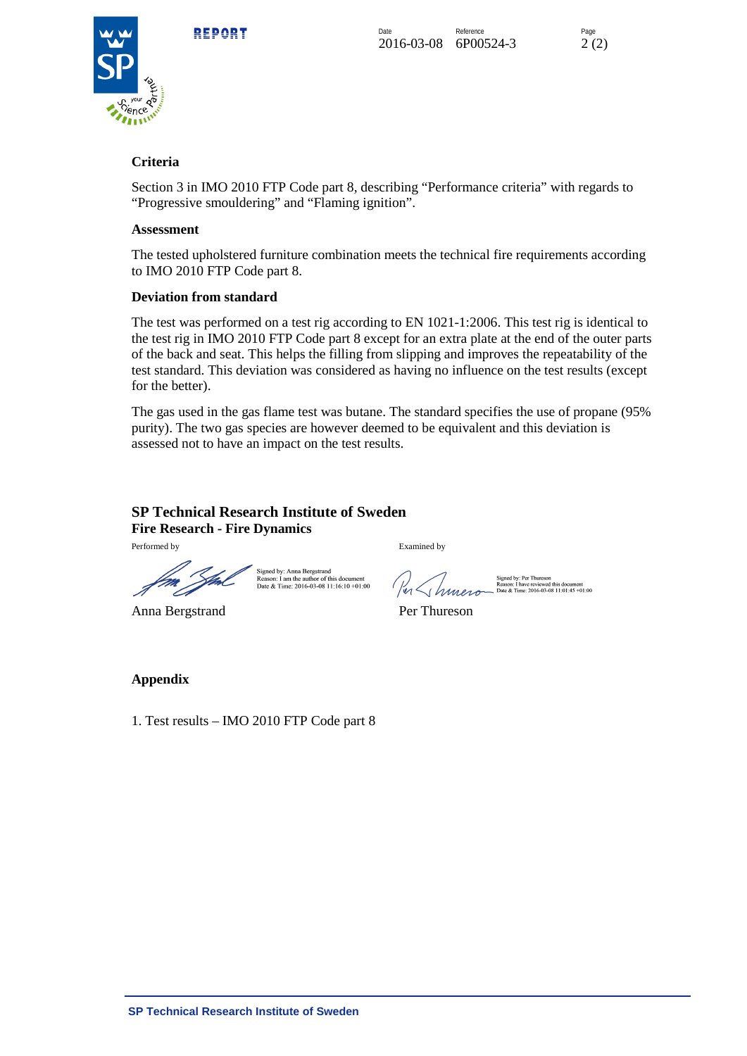

# **Criteria**

Section 3 in IMO 2010 FTP Code part 8, describing "Performance criteria" with regards to "Progressive smouldering" and "Flaming ignition".

## **Assessment**

The tested upholstered furniture combination meets the technical fire requirements according to IMO 2010 FTP Code part 8.

# **Deviation from standard**

The test was performed on a test rig according to EN 1021-1:2006. This test rig is identical to the test rig in IMO 2010 FTP Code part 8 except for an extra plate at the end of the outer parts of the back and seat. This helps the filling from slipping and improves the repeatability of the test standard. This deviation was considered as having no influence on the test results (except for the better).

The gas used in the gas flame test was butane. The standard specifies the use of propane (95% purity). The two gas species are however deemed to be equivalent and this deviation is assessed not to have an impact on the test results.

# **SP Technical Research Institute of Sweden Fire Research - Fire Dynamics**

Signed by: Anna Bergstrand

Reason: I am the author of this document<br>Date & Time: 2016-03-08 11:16:10 +01:00

Performed by Examined by

Anna Bergstrand Per Thureson

Signed by: Per Thureson<br>Reason: I have reviewed this document<br>Date & Time: 2016-03-08 11:01:45 +01:00

# **Appendix**

1. Test results – IMO 2010 FTP Code part 8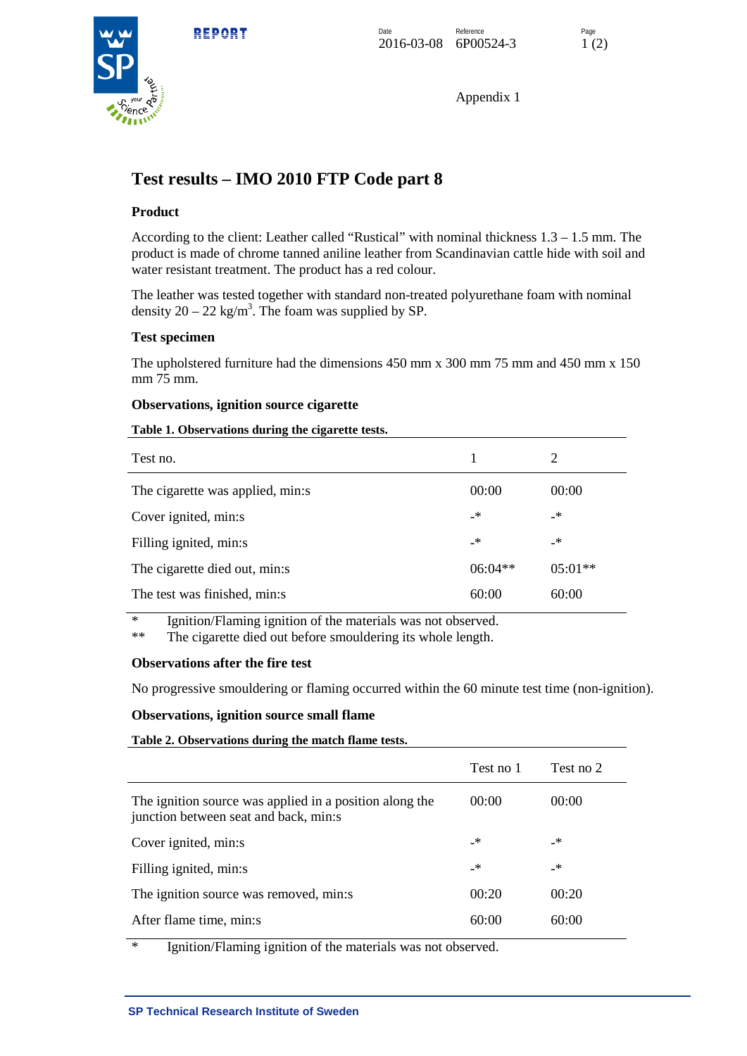

Appendix 1

# **Test results – IMO 2010 FTP Code part 8**

# **Product**

According to the client: Leather called "Rustical" with nominal thickness 1.3 – 1.5 mm. The product is made of chrome tanned aniline leather from Scandinavian cattle hide with soil and water resistant treatment. The product has a red colour.

The leather was tested together with standard non-treated polyurethane foam with nominal density  $20 - 22$  kg/m<sup>3</sup>. The foam was supplied by SP.

## **Test specimen**

The upholstered furniture had the dimensions 450 mm x 300 mm 75 mm and 450 mm x 150 mm 75 mm.

## **Observations, ignition source cigarette**

#### **Table 1. Observations during the cigarette tests.**

| Test no.                         | 1         | 2         |
|----------------------------------|-----------|-----------|
| The cigarette was applied, min:s | 00:00     | 00:00     |
| Cover ignited, min:s             | _*        | _*        |
| Filling ignited, min:s           | _*        | _*        |
| The cigarette died out, min:s    | $06:04**$ | $05:01**$ |
| The test was finished, min:s     | 60:00     | 60:00     |

\* Ignition/Flaming ignition of the materials was not observed.

The cigarette died out before smouldering its whole length.

## **Observations after the fire test**

No progressive smouldering or flaming occurred within the 60 minute test time (non-ignition).

#### **Observations, ignition source small flame**

| Table 2. Observations during the match flame tests.                                                                                              |           |           |
|--------------------------------------------------------------------------------------------------------------------------------------------------|-----------|-----------|
|                                                                                                                                                  | Test no 1 | Test no 2 |
| The ignition source was applied in a position along the<br>junction between seat and back, min:s                                                 | 00:00     | 00:00     |
| Cover ignited, min:s                                                                                                                             | _*        | _*        |
| Filling ignited, min:s                                                                                                                           | _*        | _*        |
| The ignition source was removed, min:s                                                                                                           | 00:20     | 00:20     |
| After flame time, min:s                                                                                                                          | 60:00     | 60:00     |
| $\cdot$ . $\cdot$<br>$\cdot$ . $\cdot$<br>$\sim$<br>$\mathbf{a}$ $\mathbf{b}$<br>$\alpha$ and $\alpha$ and $\alpha$ and $\alpha$<br>$\mathbf{r}$ |           |           |

Ignition/Flaming ignition of the materials was not observed.